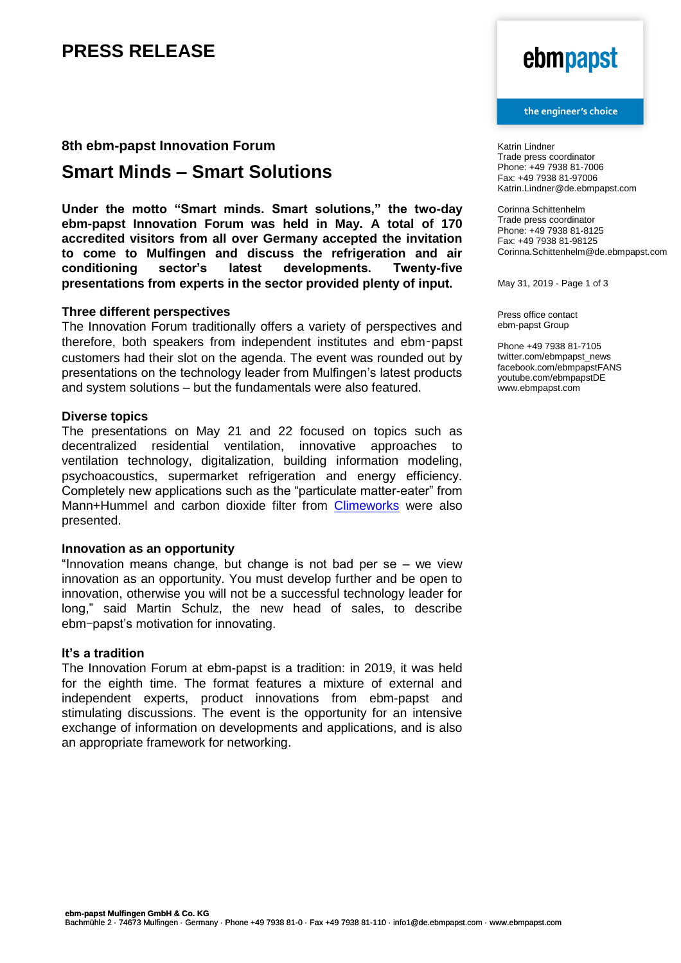# **PRESS RELEASE**

### **8th ebm-papst Innovation Forum**

## **Smart Minds – Smart Solutions**

**Under the motto "Smart minds. Smart solutions," the two-day ebm-papst Innovation Forum was held in May. A total of 170 accredited visitors from all over Germany accepted the invitation to come to Mulfingen and discuss the refrigeration and air conditioning sector's latest developments. Twenty-five presentations from experts in the sector provided plenty of input.**

### **Three different perspectives**

The Innovation Forum traditionally offers a variety of perspectives and therefore, both speakers from independent institutes and ebm-papst customers had their slot on the agenda. The event was rounded out by presentations on the technology leader from Mulfingen's latest products and system solutions – but the fundamentals were also featured.

#### **Diverse topics**

The presentations on May 21 and 22 focused on topics such as decentralized residential ventilation, innovative approaches to ventilation technology, digitalization, building information modeling, psychoacoustics, supermarket refrigeration and energy efficiency. Completely new applications such as the "particulate matter-eater" from Mann+Hummel and carbon dioxide filter from [Climeworks](https://mag.ebmpapst.com/de?s=climeworks) were also presented.

### **Innovation as an opportunity**

"Innovation means change, but change is not bad per se  $-$  we view innovation as an opportunity. You must develop further and be open to innovation, otherwise you will not be a successful technology leader for long," said Martin Schulz, the new head of sales, to describe ebm-papst's motivation for innovating.

#### **It's a tradition**

The Innovation Forum at ebm-papst is a tradition: in 2019, it was held for the eighth time. The format features a mixture of external and independent experts, product innovations from ebm-papst and stimulating discussions. The event is the opportunity for an intensive exchange of information on developments and applications, and is also an appropriate framework for networking.

# ebmpapst

#### the engineer's choice

Katrin Lindner Trade press coordinator Phone: +49 7938 81-7006 Fax: +49 7938 81-97006 Katrin.Lindner@de.ebmpapst.com

Corinna Schittenhelm Trade press coordinator Phone: +49 7938 81-8125 Fax: +49 7938 81-98125 Corinna.Schittenhelm@de.ebmpapst.com

May 31, 2019 - Page 1 of 3

Press office contact ebm-papst Group

Phone +49 7938 81-7105 twitter.com/ebmpapst\_news facebook.com/ebmpapstFANS youtube.com/ebmpapstDE www.ebmpapst.com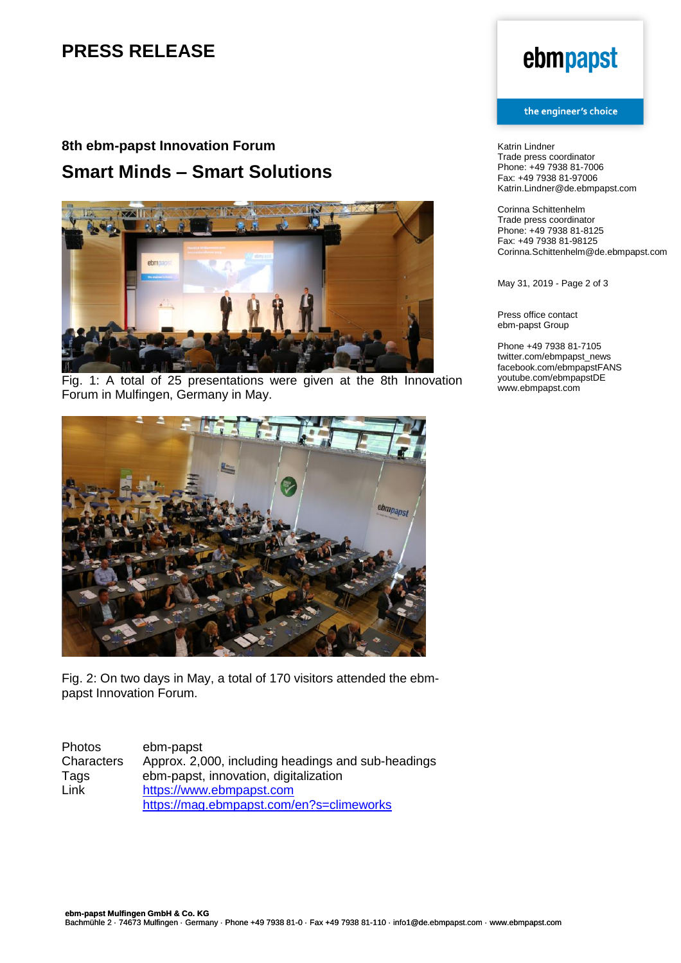# **PRESS RELEASE**

# **8th ebm-papst Innovation Forum Smart Minds – Smart Solutions**



Fig. 1: A total of 25 presentations were given at the 8th Innovation Forum in Mulfingen, Germany in May.



Fig. 2: On two days in May, a total of 170 visitors attended the ebmpapst Innovation Forum.

| <b>Photos</b>     | ebm-papst                                          |
|-------------------|----------------------------------------------------|
| <b>Characters</b> | Approx. 2,000, including headings and sub-headings |
| Tags              | ebm-papst, innovation, digitalization              |
| Link              | https://www.ebmpapst.com                           |
|                   | https://mag.ebmpapst.com/en?s=climeworks           |

# ebmpapst

#### the engineer's choice

Katrin Lindner Trade press coordinator Phone: +49 7938 81-7006 Fax: +49 7938 81-97006 Katrin.Lindner@de.ebmpapst.com

Corinna Schittenhelm Trade press coordinator Phone: +49 7938 81-8125 Fax: +49 7938 81-98125 Corinna.Schittenhelm@de.ebmpapst.com

May 31, 2019 - Page 2 of 3

Press office contact ebm-papst Group

Phone +49 7938 81-7105 twitter.com/ebmpapst\_news facebook.com/ebmpapstFANS youtube.com/ebmpapstDE www.ebmpapst.com